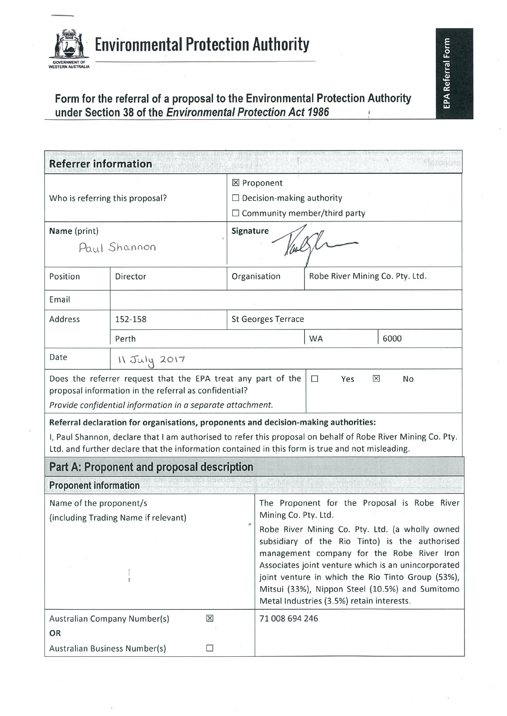

Form for the referral of a proposal to the Environmental Protection Authority<br>under Section 38 of the Environmental Protection Act 1986

| <b>Referrer information</b>                                                                                                                                                                                                                                                                             |                                            |                                                                                                                                                                                                                                                                                                          |                                                                                                                         |                                 |      |
|---------------------------------------------------------------------------------------------------------------------------------------------------------------------------------------------------------------------------------------------------------------------------------------------------------|--------------------------------------------|----------------------------------------------------------------------------------------------------------------------------------------------------------------------------------------------------------------------------------------------------------------------------------------------------------|-------------------------------------------------------------------------------------------------------------------------|---------------------------------|------|
| Who is referring this proposal?                                                                                                                                                                                                                                                                         |                                            | ⊠ Proponent<br>$\Box$ Decision-making authority<br>$\Box$ Community member/third party                                                                                                                                                                                                                   |                                                                                                                         |                                 |      |
| Name (print)                                                                                                                                                                                                                                                                                            |                                            | Signature<br>Val                                                                                                                                                                                                                                                                                         |                                                                                                                         |                                 |      |
| Paul Shannon                                                                                                                                                                                                                                                                                            |                                            |                                                                                                                                                                                                                                                                                                          |                                                                                                                         |                                 |      |
| Position                                                                                                                                                                                                                                                                                                | Director                                   |                                                                                                                                                                                                                                                                                                          | Organisation                                                                                                            | Robe River Mining Co. Pty. Ltd. |      |
| Email                                                                                                                                                                                                                                                                                                   |                                            |                                                                                                                                                                                                                                                                                                          |                                                                                                                         |                                 |      |
| Address                                                                                                                                                                                                                                                                                                 | <b>St Georges Terrace</b><br>152-158       |                                                                                                                                                                                                                                                                                                          |                                                                                                                         |                                 |      |
|                                                                                                                                                                                                                                                                                                         | Perth                                      |                                                                                                                                                                                                                                                                                                          |                                                                                                                         | <b>WA</b>                       | 6000 |
| Date                                                                                                                                                                                                                                                                                                    | 11 July 2017                               |                                                                                                                                                                                                                                                                                                          |                                                                                                                         |                                 |      |
| Does the referrer request that the EPA treat any part of the<br>proposal information in the referral as confidential?<br>Provide confidential information in a separate attachment.                                                                                                                     |                                            |                                                                                                                                                                                                                                                                                                          | $\Box$<br>$\boxtimes$<br>Yes                                                                                            | No                              |      |
| Referral declaration for organisations, proponents and decision-making authorities:<br>I, Paul Shannon, declare that I am authorised to refer this proposal on behalf of Robe River Mining Co. Pty.<br>Ltd. and further declare that the information contained in this form is true and not misleading. |                                            |                                                                                                                                                                                                                                                                                                          |                                                                                                                         |                                 |      |
|                                                                                                                                                                                                                                                                                                         | Part A: Proponent and proposal description |                                                                                                                                                                                                                                                                                                          |                                                                                                                         |                                 |      |
| <b>Proponent information</b>                                                                                                                                                                                                                                                                            |                                            |                                                                                                                                                                                                                                                                                                          |                                                                                                                         |                                 |      |
| Name of the proponent/s<br>(including Trading Name if relevant)                                                                                                                                                                                                                                         |                                            |                                                                                                                                                                                                                                                                                                          | The Proponent for the Proposal is Robe River<br>Mining Co. Pty. Ltd.<br>Robe River Mining Co. Pty. Ltd. (a wholly owned |                                 |      |
|                                                                                                                                                                                                                                                                                                         |                                            | subsidiary of the Rio Tinto) is the authorised<br>management company for the Robe River Iron<br>Associates joint venture which is an unincorporated<br>joint venture in which the Rio Tinto Group (53%),<br>Mitsui (33%), Nippon Steel (10.5%) and Sumitomo<br>Metal Industries (3.5%) retain interests. |                                                                                                                         |                                 |      |
| $\times$<br>Australian Company Number(s)                                                                                                                                                                                                                                                                |                                            | 71 008 694 246                                                                                                                                                                                                                                                                                           |                                                                                                                         |                                 |      |
| OR<br>Australian Business Number(s)<br>$\Box$                                                                                                                                                                                                                                                           |                                            |                                                                                                                                                                                                                                                                                                          |                                                                                                                         |                                 |      |

EPA Referral Form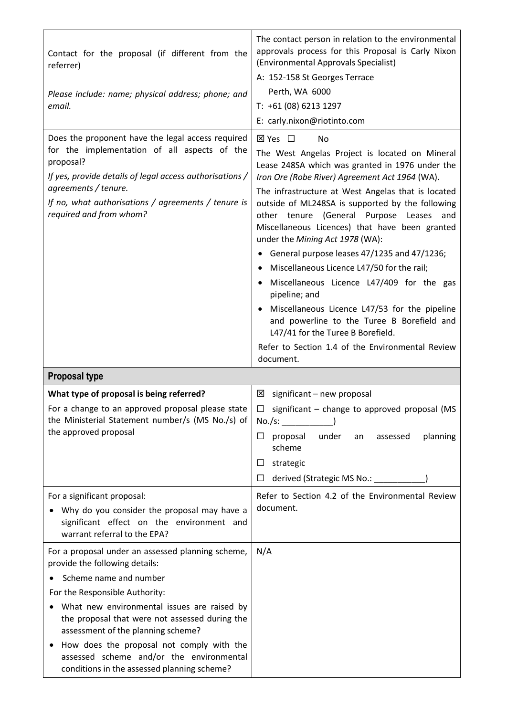| Contact for the proposal (if different from the<br>referrer)<br>Please include: name; physical address; phone; and<br>email.                                                                                                                                                                                                                                                                                                   | The contact person in relation to the environmental<br>approvals process for this Proposal is Carly Nixon<br>(Environmental Approvals Specialist)<br>A: 152-158 St Georges Terrace<br>Perth, WA 6000<br>T: +61 (08) 6213 1297<br>E: carly.nixon@riotinto.com                                                                                                                                                                                                                                                                                                                                                                                                                                                                                                                                               |
|--------------------------------------------------------------------------------------------------------------------------------------------------------------------------------------------------------------------------------------------------------------------------------------------------------------------------------------------------------------------------------------------------------------------------------|------------------------------------------------------------------------------------------------------------------------------------------------------------------------------------------------------------------------------------------------------------------------------------------------------------------------------------------------------------------------------------------------------------------------------------------------------------------------------------------------------------------------------------------------------------------------------------------------------------------------------------------------------------------------------------------------------------------------------------------------------------------------------------------------------------|
| Does the proponent have the legal access required<br>for the implementation of all aspects of the<br>proposal?<br>If yes, provide details of legal access authorisations /<br>agreements / tenure.<br>If no, what authorisations / agreements / tenure is<br>required and from whom?                                                                                                                                           | ⊠ Yes □<br>No<br>The West Angelas Project is located on Mineral<br>Lease 248SA which was granted in 1976 under the<br>Iron Ore (Robe River) Agreement Act 1964 (WA).<br>The infrastructure at West Angelas that is located<br>outside of ML248SA is supported by the following<br>(General Purpose<br>other tenure<br>Leases<br>and<br>Miscellaneous Licences) that have been granted<br>under the Mining Act 1978 (WA):<br>General purpose leases 47/1235 and 47/1236;<br>Miscellaneous Licence L47/50 for the rail;<br>٠<br>Miscellaneous Licence L47/409 for the gas<br>pipeline; and<br>Miscellaneous Licence L47/53 for the pipeline<br>$\bullet$<br>and powerline to the Turee B Borefield and<br>L47/41 for the Turee B Borefield.<br>Refer to Section 1.4 of the Environmental Review<br>document. |
| <b>Proposal type</b>                                                                                                                                                                                                                                                                                                                                                                                                           |                                                                                                                                                                                                                                                                                                                                                                                                                                                                                                                                                                                                                                                                                                                                                                                                            |
| What type of proposal is being referred?<br>For a change to an approved proposal please state<br>the Ministerial Statement number/s (MS No./s) of<br>the approved proposal                                                                                                                                                                                                                                                     | $\boxtimes$ significant – new proposal<br>$\Box$<br>significant - change to approved proposal (MS<br>No./s:<br>proposal<br>under<br>planning<br>$\Box$<br>assessed<br>an<br>scheme<br>strategic<br>⊔<br>derived (Strategic MS No.: _______<br>□                                                                                                                                                                                                                                                                                                                                                                                                                                                                                                                                                            |
| For a significant proposal:<br>Why do you consider the proposal may have a<br>significant effect on the environment and<br>warrant referral to the EPA?                                                                                                                                                                                                                                                                        | Refer to Section 4.2 of the Environmental Review<br>document.                                                                                                                                                                                                                                                                                                                                                                                                                                                                                                                                                                                                                                                                                                                                              |
| For a proposal under an assessed planning scheme,<br>provide the following details:<br>Scheme name and number<br>For the Responsible Authority:<br>What new environmental issues are raised by<br>the proposal that were not assessed during the<br>assessment of the planning scheme?<br>How does the proposal not comply with the<br>assessed scheme and/or the environmental<br>conditions in the assessed planning scheme? | N/A                                                                                                                                                                                                                                                                                                                                                                                                                                                                                                                                                                                                                                                                                                                                                                                                        |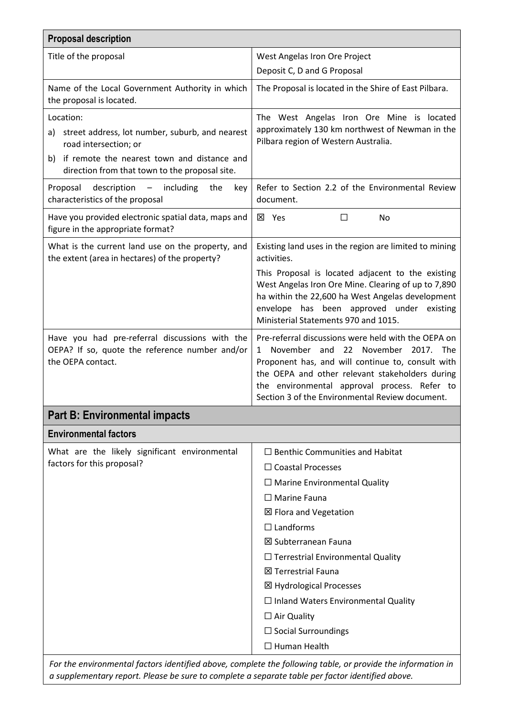| <b>Proposal description</b>                                                                                                                                                                                     |                                                                                                                                                                                                                                                                                                                         |  |
|-----------------------------------------------------------------------------------------------------------------------------------------------------------------------------------------------------------------|-------------------------------------------------------------------------------------------------------------------------------------------------------------------------------------------------------------------------------------------------------------------------------------------------------------------------|--|
| Title of the proposal                                                                                                                                                                                           | West Angelas Iron Ore Project                                                                                                                                                                                                                                                                                           |  |
|                                                                                                                                                                                                                 | Deposit C, D and G Proposal                                                                                                                                                                                                                                                                                             |  |
| Name of the Local Government Authority in which<br>the proposal is located.                                                                                                                                     | The Proposal is located in the Shire of East Pilbara.                                                                                                                                                                                                                                                                   |  |
| Location:<br>a) street address, lot number, suburb, and nearest<br>road intersection; or<br>b) if remote the nearest town and distance and<br>direction from that town to the proposal site.                    | The West Angelas Iron Ore Mine is located<br>approximately 130 km northwest of Newman in the<br>Pilbara region of Western Australia.                                                                                                                                                                                    |  |
| Proposal<br>description<br>including<br>the<br>$\overline{\phantom{m}}$<br>key<br>characteristics of the proposal                                                                                               | Refer to Section 2.2 of the Environmental Review<br>document.                                                                                                                                                                                                                                                           |  |
| Have you provided electronic spatial data, maps and<br>figure in the appropriate format?                                                                                                                        | <b>区</b> Yes<br>$\Box$<br>No                                                                                                                                                                                                                                                                                            |  |
| What is the current land use on the property, and<br>the extent (area in hectares) of the property?                                                                                                             | Existing land uses in the region are limited to mining<br>activities.                                                                                                                                                                                                                                                   |  |
|                                                                                                                                                                                                                 | This Proposal is located adjacent to the existing<br>West Angelas Iron Ore Mine. Clearing of up to 7,890<br>ha within the 22,600 ha West Angelas development<br>envelope has been approved under existing<br>Ministerial Statements 970 and 1015.                                                                       |  |
| Have you had pre-referral discussions with the<br>OEPA? If so, quote the reference number and/or<br>the OEPA contact.                                                                                           | Pre-referral discussions were held with the OEPA on<br>November and 22 November<br>$\mathbf{1}$<br>2017. The<br>Proponent has, and will continue to, consult with<br>the OEPA and other relevant stakeholders during<br>the environmental approval process. Refer to<br>Section 3 of the Environmental Review document. |  |
| <b>Part B: Environmental impacts</b>                                                                                                                                                                            |                                                                                                                                                                                                                                                                                                                         |  |
| <b>Environmental factors</b>                                                                                                                                                                                    |                                                                                                                                                                                                                                                                                                                         |  |
| What are the likely significant environmental                                                                                                                                                                   | $\Box$ Benthic Communities and Habitat                                                                                                                                                                                                                                                                                  |  |
| factors for this proposal?                                                                                                                                                                                      | $\Box$ Coastal Processes                                                                                                                                                                                                                                                                                                |  |
|                                                                                                                                                                                                                 | $\Box$ Marine Environmental Quality                                                                                                                                                                                                                                                                                     |  |
|                                                                                                                                                                                                                 | $\Box$ Marine Fauna                                                                                                                                                                                                                                                                                                     |  |
|                                                                                                                                                                                                                 | <b>⊠ Flora and Vegetation</b>                                                                                                                                                                                                                                                                                           |  |
|                                                                                                                                                                                                                 | $\Box$ Landforms                                                                                                                                                                                                                                                                                                        |  |
|                                                                                                                                                                                                                 | <b>⊠ Subterranean Fauna</b>                                                                                                                                                                                                                                                                                             |  |
|                                                                                                                                                                                                                 | $\Box$ Terrestrial Environmental Quality                                                                                                                                                                                                                                                                                |  |
|                                                                                                                                                                                                                 | <b>区 Terrestrial Fauna</b>                                                                                                                                                                                                                                                                                              |  |
|                                                                                                                                                                                                                 | ⊠ Hydrological Processes                                                                                                                                                                                                                                                                                                |  |
|                                                                                                                                                                                                                 | $\Box$ Inland Waters Environmental Quality                                                                                                                                                                                                                                                                              |  |
|                                                                                                                                                                                                                 | $\Box$ Air Quality                                                                                                                                                                                                                                                                                                      |  |
|                                                                                                                                                                                                                 | $\Box$ Social Surroundings                                                                                                                                                                                                                                                                                              |  |
|                                                                                                                                                                                                                 | $\Box$ Human Health                                                                                                                                                                                                                                                                                                     |  |
| For the environmental factors identified above, complete the following table, or provide the information in<br>a supplementary report. Please be sure to complete a separate table per factor identified above. |                                                                                                                                                                                                                                                                                                                         |  |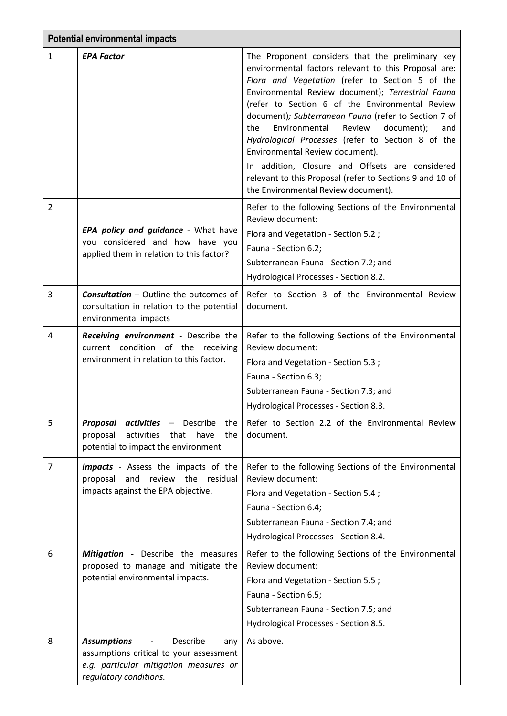|                | <b>Potential environmental impacts</b>                                                                                                               |                                                                                                                                                                                                                                                                                                                                                                                                                                                                                                                                                                                                                                  |
|----------------|------------------------------------------------------------------------------------------------------------------------------------------------------|----------------------------------------------------------------------------------------------------------------------------------------------------------------------------------------------------------------------------------------------------------------------------------------------------------------------------------------------------------------------------------------------------------------------------------------------------------------------------------------------------------------------------------------------------------------------------------------------------------------------------------|
| $\mathbf{1}$   | <b>EPA Factor</b>                                                                                                                                    | The Proponent considers that the preliminary key<br>environmental factors relevant to this Proposal are:<br>Flora and Vegetation (refer to Section 5 of the<br>Environmental Review document); Terrestrial Fauna<br>(refer to Section 6 of the Environmental Review<br>document); Subterranean Fauna (refer to Section 7 of<br>Environmental<br>document);<br>the<br>Review<br>and<br>Hydrological Processes (refer to Section 8 of the<br>Environmental Review document).<br>In addition, Closure and Offsets are considered<br>relevant to this Proposal (refer to Sections 9 and 10 of<br>the Environmental Review document). |
| $\overline{2}$ | EPA policy and guidance - What have<br>you considered and how have you<br>applied them in relation to this factor?                                   | Refer to the following Sections of the Environmental<br>Review document:<br>Flora and Vegetation - Section 5.2;<br>Fauna - Section 6.2;<br>Subterranean Fauna - Section 7.2; and<br>Hydrological Processes - Section 8.2.                                                                                                                                                                                                                                                                                                                                                                                                        |
| 3              | <b>Consultation - Outline the outcomes of</b><br>consultation in relation to the potential<br>environmental impacts                                  | Refer to Section 3 of the Environmental Review<br>document.                                                                                                                                                                                                                                                                                                                                                                                                                                                                                                                                                                      |
| 4              | Receiving environment - Describe the<br>current condition of the receiving<br>environment in relation to this factor.                                | Refer to the following Sections of the Environmental<br>Review document:<br>Flora and Vegetation - Section 5.3;<br>Fauna - Section 6.3;<br>Subterranean Fauna - Section 7.3; and<br>Hydrological Processes - Section 8.3.                                                                                                                                                                                                                                                                                                                                                                                                        |
| 5              | <b>Proposal activities - Describe</b><br>the<br>proposal<br>activities<br>that<br>the<br>have<br>potential to impact the environment                 | Refer to Section 2.2 of the Environmental Review<br>document.                                                                                                                                                                                                                                                                                                                                                                                                                                                                                                                                                                    |
| 7              | <b>Impacts</b> - Assess the impacts of the<br>and<br>review the<br>residual<br>proposal<br>impacts against the EPA objective.                        | Refer to the following Sections of the Environmental<br>Review document:<br>Flora and Vegetation - Section 5.4;<br>Fauna - Section 6.4;<br>Subterranean Fauna - Section 7.4; and<br>Hydrological Processes - Section 8.4.                                                                                                                                                                                                                                                                                                                                                                                                        |
| 6              | Mitigation - Describe the measures<br>proposed to manage and mitigate the<br>potential environmental impacts.                                        | Refer to the following Sections of the Environmental<br>Review document:<br>Flora and Vegetation - Section 5.5;<br>Fauna - Section 6.5;<br>Subterranean Fauna - Section 7.5; and<br>Hydrological Processes - Section 8.5.                                                                                                                                                                                                                                                                                                                                                                                                        |
| 8              | <b>Assumptions</b><br>Describe<br>any<br>assumptions critical to your assessment<br>e.g. particular mitigation measures or<br>regulatory conditions. | As above.                                                                                                                                                                                                                                                                                                                                                                                                                                                                                                                                                                                                                        |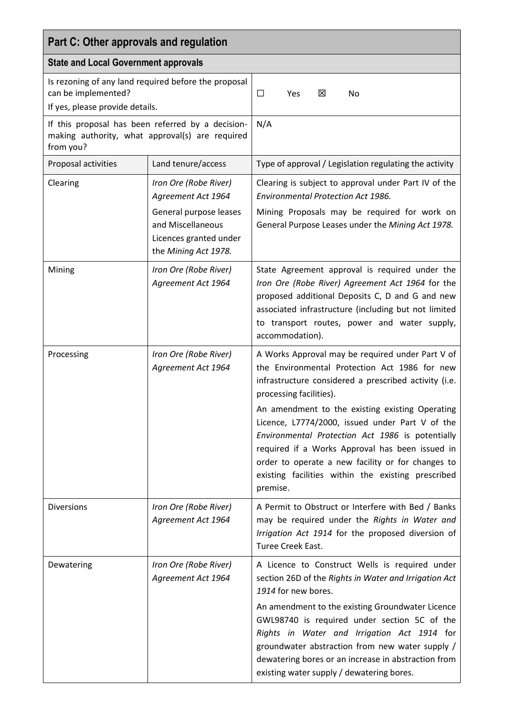| Part C: Other approvals and regulation                                                                            |                                                                                                                                              |                                                                                                                                                                                                                                                                                                                                                                                                                                                                                                                           |
|-------------------------------------------------------------------------------------------------------------------|----------------------------------------------------------------------------------------------------------------------------------------------|---------------------------------------------------------------------------------------------------------------------------------------------------------------------------------------------------------------------------------------------------------------------------------------------------------------------------------------------------------------------------------------------------------------------------------------------------------------------------------------------------------------------------|
| <b>State and Local Government approvals</b>                                                                       |                                                                                                                                              |                                                                                                                                                                                                                                                                                                                                                                                                                                                                                                                           |
| Is rezoning of any land required before the proposal<br>can be implemented?<br>If yes, please provide details.    |                                                                                                                                              | 区<br>$\Box$<br>No<br>Yes                                                                                                                                                                                                                                                                                                                                                                                                                                                                                                  |
| If this proposal has been referred by a decision-<br>making authority, what approval(s) are required<br>from you? |                                                                                                                                              | N/A                                                                                                                                                                                                                                                                                                                                                                                                                                                                                                                       |
| Proposal activities                                                                                               | Land tenure/access                                                                                                                           | Type of approval / Legislation regulating the activity                                                                                                                                                                                                                                                                                                                                                                                                                                                                    |
| Clearing                                                                                                          | Iron Ore (Robe River)<br>Agreement Act 1964<br>General purpose leases<br>and Miscellaneous<br>Licences granted under<br>the Mining Act 1978. | Clearing is subject to approval under Part IV of the<br>Environmental Protection Act 1986.<br>Mining Proposals may be required for work on<br>General Purpose Leases under the Mining Act 1978.                                                                                                                                                                                                                                                                                                                           |
| Mining                                                                                                            | Iron Ore (Robe River)<br>Agreement Act 1964                                                                                                  | State Agreement approval is required under the<br>Iron Ore (Robe River) Agreement Act 1964 for the<br>proposed additional Deposits C, D and G and new<br>associated infrastructure (including but not limited<br>to transport routes, power and water supply,<br>accommodation).                                                                                                                                                                                                                                          |
| Processing                                                                                                        | Iron Ore (Robe River)<br>Agreement Act 1964                                                                                                  | A Works Approval may be required under Part V of<br>the Environmental Protection Act 1986 for new<br>infrastructure considered a prescribed activity (i.e.<br>processing facilities).<br>An amendment to the existing existing Operating<br>Licence, L7774/2000, issued under Part V of the<br>Environmental Protection Act 1986 is potentially<br>required if a Works Approval has been issued in<br>order to operate a new facility or for changes to<br>existing facilities within the existing prescribed<br>premise. |
| <b>Diversions</b>                                                                                                 | Iron Ore (Robe River)<br>Agreement Act 1964                                                                                                  | A Permit to Obstruct or Interfere with Bed / Banks<br>may be required under the Rights in Water and<br>Irrigation Act 1914 for the proposed diversion of<br>Turee Creek East.                                                                                                                                                                                                                                                                                                                                             |
| Dewatering                                                                                                        | Iron Ore (Robe River)<br>Agreement Act 1964                                                                                                  | A Licence to Construct Wells is required under<br>section 26D of the Rights in Water and Irrigation Act<br>1914 for new bores.<br>An amendment to the existing Groundwater Licence<br>GWL98740 is required under section 5C of the<br>Rights in Water and Irrigation Act 1914 for<br>groundwater abstraction from new water supply /<br>dewatering bores or an increase in abstraction from<br>existing water supply / dewatering bores.                                                                                  |